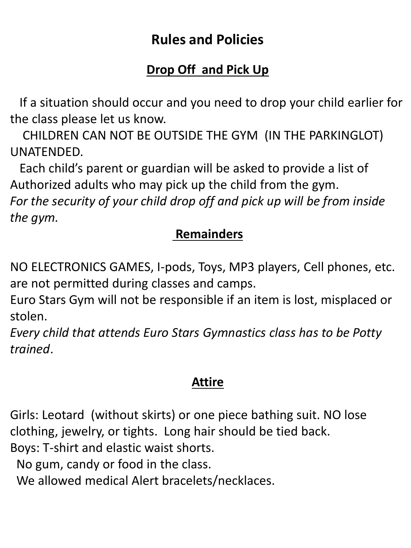# **Rules and Policies**

# **Drop Off and Pick Up**

 If a situation should occur and you need to drop your child earlier for the class please let us know.

 CHILDREN CAN NOT BE OUTSIDE THE GYM (IN THE PARKINGLOT) UNATENDED.

 Each child's parent or guardian will be asked to provide a list of Authorized adults who may pick up the child from the gym.

*For the security of your child drop off and pick up will be from inside the gym.* 

### **Remainders**

NO ELECTRONICS GAMES, I-pods, Toys, MP3 players, Cell phones, etc. are not permitted during classes and camps.

Euro Stars Gym will not be responsible if an item is lost, misplaced or stolen.

*Every child that attends Euro Stars Gymnastics class has to be Potty trained*.

### **Attire**

Girls: Leotard (without skirts) or one piece bathing suit. NO lose clothing, jewelry, or tights. Long hair should be tied back. Boys: T-shirt and elastic waist shorts.

No gum, candy or food in the class.

We allowed medical Alert bracelets/necklaces.